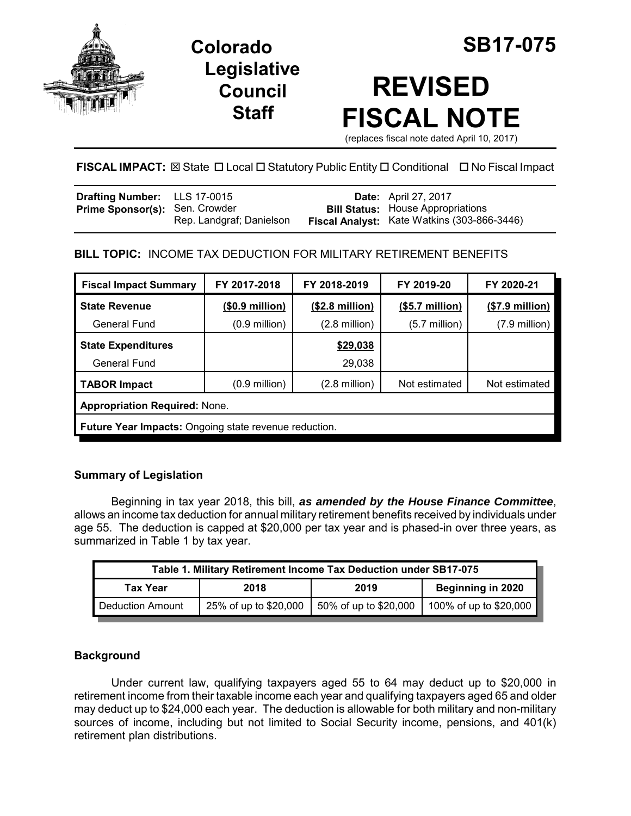

**Legislative Council Staff**



# **REVISED FISCAL NOTE**

(replaces fiscal note dated April 10, 2017)

# **FISCAL IMPACT:** ⊠ State □ Local □ Statutory Public Entity □ Conditional □ No Fiscal Impact

| <b>Bill Status:</b> House Appropriations<br>Fiscal Analyst: Kate Watkins (303-866-3446) |
|-----------------------------------------------------------------------------------------|
|                                                                                         |

## **BILL TOPIC:** INCOME TAX DEDUCTION FOR MILITARY RETIREMENT BENEFITS

| <b>Fiscal Impact Summary</b>                                 | FY 2017-2018            | FY 2018-2019             | FY 2019-20              | FY 2020-21              |
|--------------------------------------------------------------|-------------------------|--------------------------|-------------------------|-------------------------|
| <b>State Revenue</b>                                         | (\$0.9 million)         | $($2.8 \text{ million})$ | (\$5.7 million)         | $($7.9$ million)        |
| <b>General Fund</b>                                          | $(0.9 \text{ million})$ | $(2.8 \text{ million})$  | $(5.7 \text{ million})$ | $(7.9 \text{ million})$ |
| <b>State Expenditures</b>                                    |                         | \$29,038                 |                         |                         |
| General Fund                                                 |                         | 29,038                   |                         |                         |
| <b>TABOR Impact</b>                                          | $(0.9 \text{ million})$ | $(2.8 \text{ million})$  | Not estimated           | Not estimated           |
| <b>Appropriation Required: None.</b>                         |                         |                          |                         |                         |
| <b>Future Year Impacts:</b> Ongoing state revenue reduction. |                         |                          |                         |                         |

## **Summary of Legislation**

Beginning in tax year 2018, this bill, *as amended by the House Finance Committee*, allows an income tax deduction for annual military retirement benefits received by individuals under age 55. The deduction is capped at \$20,000 per tax year and is phased-in over three years, as summarized in Table 1 by tax year.

| Table 1. Military Retirement Income Tax Deduction under SB17-075 |                       |                       |                                 |  |  |
|------------------------------------------------------------------|-----------------------|-----------------------|---------------------------------|--|--|
| <b>Tax Year</b>                                                  | 2018                  | 2019                  | Beginning in 2020               |  |  |
| Deduction Amount                                                 | 25% of up to \$20,000 | 50% of up to \$20,000 | 100% of up to \$20,000 <b> </b> |  |  |

#### **Background**

Under current law, qualifying taxpayers aged 55 to 64 may deduct up to \$20,000 in retirement income from their taxable income each year and qualifying taxpayers aged 65 and older may deduct up to \$24,000 each year. The deduction is allowable for both military and non-military sources of income, including but not limited to Social Security income, pensions, and 401(k) retirement plan distributions.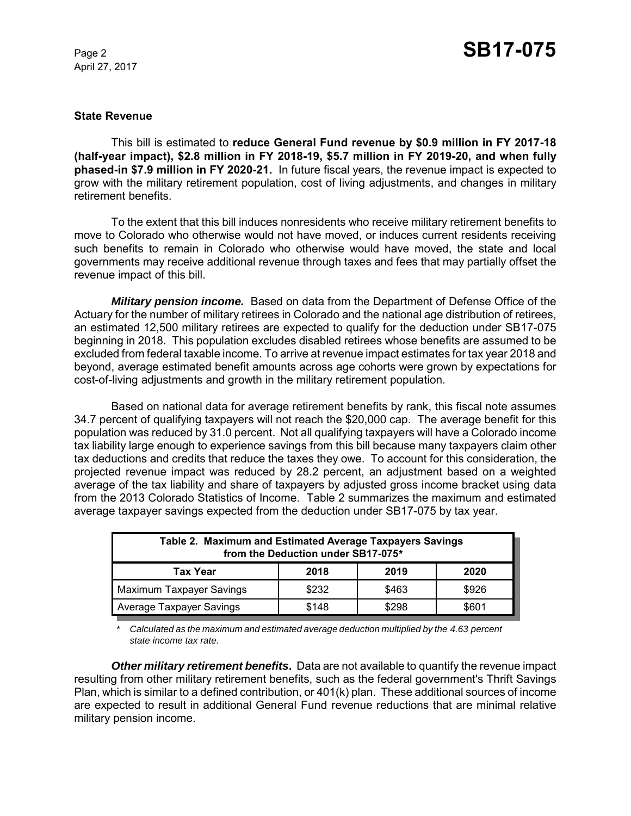April 27, 2017

#### **State Revenue**

This bill is estimated to **reduce General Fund revenue by \$0.9 million in FY 2017-18 (half-year impact), \$2.8 million in FY 2018-19, \$5.7 million in FY 2019-20, and when fully phased-in \$7.9 million in FY 2020-21.** In future fiscal years, the revenue impact is expected to grow with the military retirement population, cost of living adjustments, and changes in military retirement benefits.

To the extent that this bill induces nonresidents who receive military retirement benefits to move to Colorado who otherwise would not have moved, or induces current residents receiving such benefits to remain in Colorado who otherwise would have moved, the state and local governments may receive additional revenue through taxes and fees that may partially offset the revenue impact of this bill.

*Military pension income.* Based on data from the Department of Defense Office of the Actuary for the number of military retirees in Colorado and the national age distribution of retirees, an estimated 12,500 military retirees are expected to qualify for the deduction under SB17-075 beginning in 2018. This population excludes disabled retirees whose benefits are assumed to be excluded from federal taxable income. To arrive at revenue impact estimates for tax year 2018 and beyond, average estimated benefit amounts across age cohorts were grown by expectations for cost-of-living adjustments and growth in the military retirement population.

Based on national data for average retirement benefits by rank, this fiscal note assumes 34.7 percent of qualifying taxpayers will not reach the \$20,000 cap. The average benefit for this population was reduced by 31.0 percent. Not all qualifying taxpayers will have a Colorado income tax liability large enough to experience savings from this bill because many taxpayers claim other tax deductions and credits that reduce the taxes they owe. To account for this consideration, the projected revenue impact was reduced by 28.2 percent, an adjustment based on a weighted average of the tax liability and share of taxpayers by adjusted gross income bracket using data from the 2013 Colorado Statistics of Income. Table 2 summarizes the maximum and estimated average taxpayer savings expected from the deduction under SB17-075 by tax year.

| Table 2. Maximum and Estimated Average Taxpayers Savings<br>from the Deduction under SB17-075* |       |       |       |  |  |
|------------------------------------------------------------------------------------------------|-------|-------|-------|--|--|
| Tax Year                                                                                       | 2018  | 2019  | 2020  |  |  |
| Maximum Taxpayer Savings                                                                       | \$232 | \$463 | \$926 |  |  |
| Average Taxpayer Savings                                                                       | \$148 | \$298 | \$601 |  |  |

*\* Calculated as the maximum and estimated average deduction multiplied by the 4.63 percent state income tax rate.*

*Other military retirement benefits***.** Data are not available to quantify the revenue impact resulting from other military retirement benefits, such as the federal government's Thrift Savings Plan, which is similar to a defined contribution, or 401(k) plan. These additional sources of income are expected to result in additional General Fund revenue reductions that are minimal relative military pension income.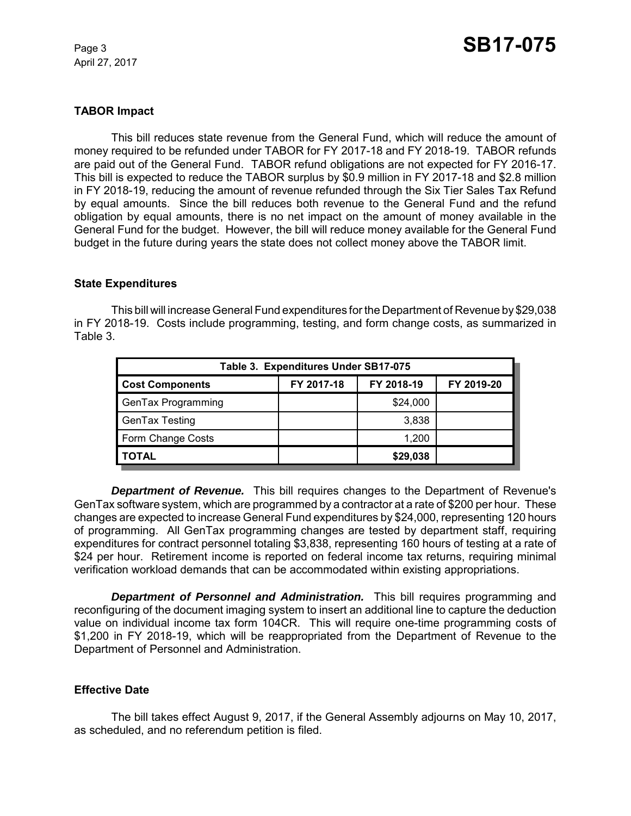April 27, 2017

#### **TABOR Impact**

This bill reduces state revenue from the General Fund, which will reduce the amount of money required to be refunded under TABOR for FY 2017-18 and FY 2018-19. TABOR refunds are paid out of the General Fund. TABOR refund obligations are not expected for FY 2016-17. This bill is expected to reduce the TABOR surplus by \$0.9 million in FY 2017-18 and \$2.8 million in FY 2018-19, reducing the amount of revenue refunded through the Six Tier Sales Tax Refund by equal amounts. Since the bill reduces both revenue to the General Fund and the refund obligation by equal amounts, there is no net impact on the amount of money available in the General Fund for the budget. However, the bill will reduce money available for the General Fund budget in the future during years the state does not collect money above the TABOR limit.

#### **State Expenditures**

This bill will increase General Fund expenditures for the Department of Revenue by \$29,038 in FY 2018-19. Costs include programming, testing, and form change costs, as summarized in Table 3.

| Table 3. Expenditures Under SB17-075 |            |            |            |  |  |
|--------------------------------------|------------|------------|------------|--|--|
| <b>Cost Components</b>               | FY 2017-18 | FY 2018-19 | FY 2019-20 |  |  |
| GenTax Programming                   |            | \$24,000   |            |  |  |
| GenTax Testing                       |            | 3,838      |            |  |  |
| Form Change Costs                    |            | 1.200      |            |  |  |
| <b>TOTAL</b>                         |            | \$29,038   |            |  |  |

*Department of Revenue.* This bill requires changes to the Department of Revenue's GenTax software system, which are programmed by a contractor at a rate of \$200 per hour. These changes are expected to increase General Fund expenditures by \$24,000, representing 120 hours of programming. All GenTax programming changes are tested by department staff, requiring expenditures for contract personnel totaling \$3,838, representing 160 hours of testing at a rate of \$24 per hour. Retirement income is reported on federal income tax returns, requiring minimal verification workload demands that can be accommodated within existing appropriations.

**Department of Personnel and Administration.** This bill requires programming and reconfiguring of the document imaging system to insert an additional line to capture the deduction value on individual income tax form 104CR. This will require one-time programming costs of \$1,200 in FY 2018-19, which will be reappropriated from the Department of Revenue to the Department of Personnel and Administration.

#### **Effective Date**

The bill takes effect August 9, 2017, if the General Assembly adjourns on May 10, 2017, as scheduled, and no referendum petition is filed.